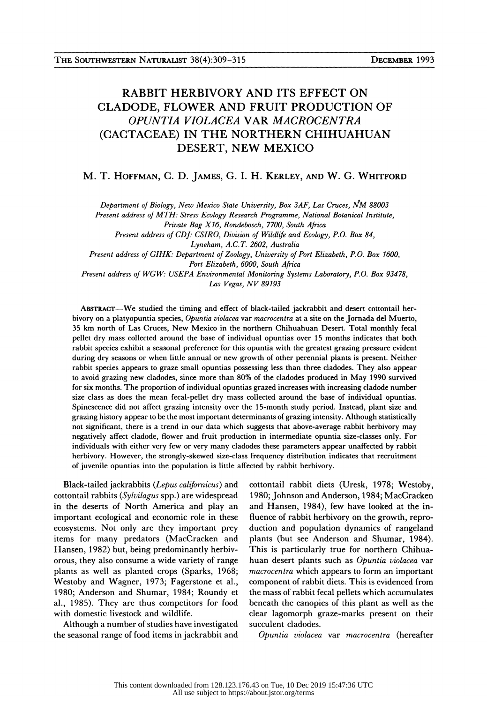## RABBIT HERBIVORY AND ITS EFFECT ON CLADODE, FLOWER AND FRUIT PRODUCTION OF OPUNTIA VIOLACEA VAR MACROCENTRA (CACTACEAE) IN THE NORTHERN CHIHUAHUAN DESERT, NEW MEXICO

## M. T. HOFFMAN, C. D. JAMES, G. I. H. KERLEY, AND W. G. WHITFORD

Department of Biology, New Mexico State University, Box 3AF, Las Cruces, NM 88003

 Present address of MTH: Stress Ecology Research Programme, National Botanical Institute, Private Bag X16, Rondebosch, 7700, South Africa

Present address of CDJ: CSIRO, Division of Wildlife and Ecology, P.O. Box 84,

Lyneham, A.C.T. 2602, Australia

Present address of GIHK: Department of Zoology, University of Port Elizabeth, P.O. Box 1600, Port Elizabeth, 6000, South Africa

 Present address of WGW: USEPA Environmental Monitoring Systems Laboratory, P.O. Box 93478, Las Vegas, NV 89193

 ABSTRACT-We studied the timing and effect of black-tailed jackrabbit and desert cottontail her bivory on a platyopuntia species, Opuntia violacea var macrocentra at a site on the Jornada del Muerto, 35 km north of Las Cruces, New Mexico in the northern Chihuahuan Desert. Total monthly fecal pellet dry mass collected around the base of individual opuntias over 15 months indicates that both rabbit species exhibit a seasonal preference for this opuntia with the greatest grazing pressure evident during dry seasons or when little annual or new growth of other perennial plants is present. Neither rabbit species appears to graze small opuntias possessing less than three cladodes. They also appear to avoid grazing new cladodes, since more than 80% of the cladodes produced in May 1990 survived for six months. The proportion of individual opuntias grazed increases with increasing cladode number size class as does the mean fecal-pellet dry mass collected around the base of individual opuntias. Spinescence did not affect grazing intensity over the 15-month study period. Instead, plant size and grazing history appear to be the most important determinants of grazing intensity. Although statistically not significant, there is a trend in our data which suggests that above-average rabbit herbivory may negatively affect cladode, flower and fruit production in intermediate opuntia size-classes only. For individuals with either very few or very many cladodes these parameters appear unaffected by rabbit herbivory. However, the strongly-skewed size-class frequency distribution indicates that recruitment of juvenile opuntias into the population is little affected by rabbit herbivory.

 Black-tailed jackrabbits (Lepus californicus) and cottontail rabbits (Sylvilagus spp.) are widespread in the deserts of North America and play an important ecological and economic role in these ecosystems. Not only are they important prey items for many predators (MacCracken and Hansen, 1982) but, being predominantly herbiv orous, they also consume a wide variety of range plants as well as planted crops (Sparks, 1968; Westoby and Wagner, 1973; Fagerstone et al., 1980; Anderson and Shumar, 1984; Roundy et al., 1985). They are thus competitors for food with domestic livestock and wildlife.

 Although a number of studies have investigated the seasonal range of food items in jackrabbit and

 cottontail rabbit diets (Uresk, 1978; Westoby, 1980; Johnson and Anderson, 1984; MacCracken and Hansen, 1984), few have looked at the in fluence of rabbit herbivory on the growth, repro duction and population dynamics of rangeland plants (but see Anderson and Shumar, 1984). This is particularly true for northern Chihua huan desert plants such as Opuntia violacea var macrocentra which appears to form an important component of rabbit diets. This is evidenced from the mass of rabbit fecal pellets which accumulates beneath the canopies of this plant as well as the clear lagomorph graze-marks present on their succulent cladodes.

Opuntia violacea var macrocentra (hereafter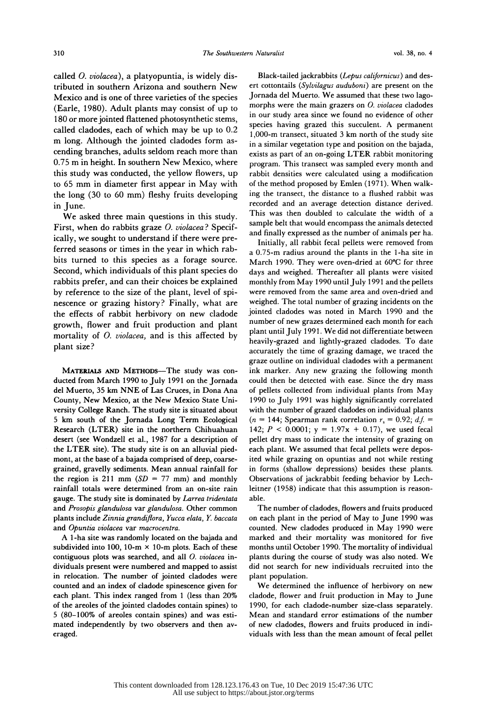called O. violacea), a platyopuntia, is widely dis tributed in southern Arizona and southern New Mexico and is one of three varieties of the species (Earle, 1980). Adult plants may consist of up to 180 or more jointed flattened photosynthetic stems, called cladodes, each of which may be up to 0.2 m long. Although the jointed cladodes form as cending branches, adults seldom reach more than 0.75 m in height. In southern New Mexico, where this study was conducted, the yellow flowers, up to 65 mm in diameter first appear in May with the long (30 to 60 mm) fleshy fruits developing in June.

 We asked three main questions in this study. First, when do rabbits graze *O. violacea*? Specif ically, we sought to understand if there were pre ferred seasons or times in the year in which rab bits turned to this species as a forage source. Second, which individuals of this plant species do rabbits prefer, and can their choices be explained by reference to the size of the plant, level of spi nescence or grazing history? Finally, what are the effects of rabbit herbivory on new cladode growth, flower and fruit production and plant mortality of O. violacea, and is this affected by plant size?

MATERIALS AND METHODS-The study was con ducted from March 1990 to July 1991 on the Jornada del Muerto, 35 km NNE of Las Cruces, in Dona Ana County, New Mexico, at the New Mexico State Uni versity College Ranch. The study site is situated about 5 km south of the Jornada Long Term Ecological Research (LTER) site in the northern Chihuahuan desert (see Wondzell et al., 1987 for a description of the LTER site). The study site is on an alluvial pied mont, at the base of a bajada comprised of deep, coarse grained, gravelly sediments. Mean annual rainfall for the region is 211 mm  $(SD = 77$  mm) and monthly rainfall totals were determined from an on-site rain gauge. The study site is dominated by Larrea tridentata and Prosopis glandulosa var glandulosa. Other common plants include Zinnia grandiflora, Yucca elata, Y. baccata and Opuntia violacea var macrocentra.

 A 1-ha site was randomly located on the bajada and subdivided into 100, 10-m  $\times$  10-m plots. Each of these contiguous plots was searched, and all  $O$ . violacea in dividuals present were numbered and mapped to assist in relocation. The number of jointed cladodes were counted and an index of cladode spinescence given for each plant. This index ranged from 1 (less than 20% of the areoles of the jointed cladodes contain spines) to 5 (80-100% of areoles contain spines) and was esti mated independently by two observers and then av eraged.

Black-tailed jackrabbits (Lepus californicus) and des ert cottontails (Sylvilagus auduboni) are present on the Jornada del Muerto. We assumed that these two lago morphs were the main grazers on  $O$ . violacea cladodes in our study area since we found no evidence of other species having grazed this succulent. A permanent 1,000-m transect, situated 3 km north of the study site in a similar vegetation type and position on the bajada, exists as part of an on-going LTER rabbit monitoring program. This transect was sampled every month and rabbit densities were calculated using a modification of the method proposed by Emlen (1971). When walk ing the transect, the distance to a flushed rabbit was recorded and an average detection distance derived. This was then doubled to calculate the width of a sample belt that would encompass the animals detected and finally expressed as the number of animals per ha.

 Initially, all rabbit fecal pellets were removed from a 0.75-m radius around the plants in the 1-ha site in March 1990. They were oven-dried at 60°C for three days and weighed. Thereafter all plants were visited monthly from May 1990 until July 1991 and the pellets were removed from the same area and oven-dried and weighed. The total number of grazing incidents on the jointed cladodes was noted in March 1990 and the number of new grazes determined each month for each plant until July 1991. We did not differentiate between heavily-grazed and lightly-grazed cladodes. To date accurately the time of grazing damage, we traced the graze outline on individual cladodes with a permanent ink marker. Any new grazing the following month could then be detected with ease. Since the dry mass of pellets collected from individual plants from May 1990 to July 1991 was highly significantly correlated with the number of grazed cladodes on individual plants (n = 144; Spearman rank correlation  $r_s = 0.92$ ; d.f. = 142;  $P < 0.0001$ ;  $y = 1.97x + 0.17$ , we used fecal pellet dry mass to indicate the intensity of grazing on each plant. We assumed that fecal pellets were depos ited while grazing on opuntias and not while resting in forms (shallow depressions) besides these plants. Observations of jackrabbit feeding behavior by Lech leitner (1958) indicate that this assumption is reason able.

 The number of cladodes, flowers and fruits produced on each plant in the period of May to June 1990 was counted. New cladodes produced in May 1990 were marked and their mortality was monitored for five months until October 1990. The mortality of individual plants during the course of study was also noted. We did not search for new individuals recruited into the plant population.

 We determined the influence of herbivory on new cladode, flower and fruit production in May to June 1990, for each cladode-number size-class separately. Mean and standard error estimations of the number of new cladodes, flowers and fruits produced in indi viduals with less than the mean amount of fecal pellet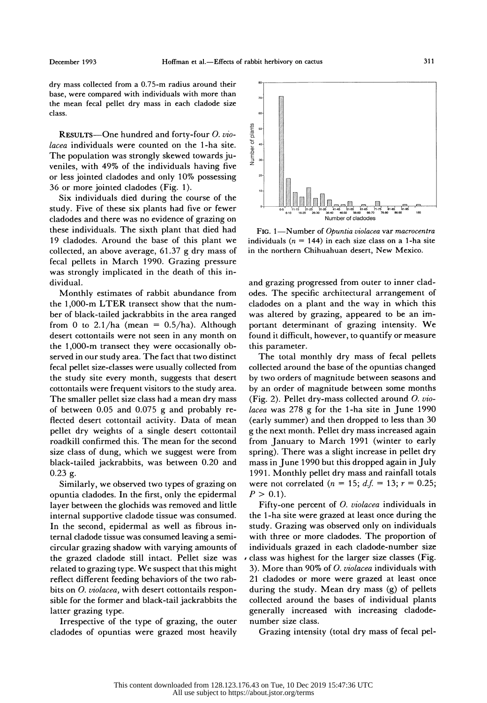dry mass collected from a 0.75-m radius around their base, were compared with individuals with more than the mean fecal pellet dry mass in each cladode size class.

RESULTS-One hundred and forty-four O. vio lacea individuals were counted on the 1-ha site. The population was strongly skewed towards ju veniles, with 49% of the individuals having five or less jointed cladodes and only 10% possessing 36 or more jointed cladodes (Fig. 1).

 Six individuals died during the course of the study. Five of these six plants had five or fewer cladodes and there was no evidence of grazing on these individuals. The sixth plant that died had 19 cladodes. Around the base of this plant we collected, an above average, 61.37 g dry mass of fecal pellets in March 1990. Grazing pressure was strongly implicated in the death of this in dividual.

 Monthly estimates of rabbit abundance from the 1,000-m LTER transect show that the num ber of black-tailed jackrabbits in the area ranged from 0 to 2.1/ha (mean =  $0.5/ha$ ). Although desert cottontails were not seen in any month on the 1,000-m transect they were occasionally ob served in our study area. The fact that two distinct fecal pellet size-classes were usually collected from the study site every month, suggests that desert cottontails were frequent visitors to the study area. The smaller pellet size class had a mean dry mass of between 0.05 and 0.075 g and probably re flected desert cottontail activity. Data of mean pellet dry weights of a single desert cottontail roadkill confirmed this. The mean for the second size class of dung, which we suggest were from black-tailed jackrabbits, was between 0.20 and 0.23 g.

 Similarly, we observed two types of grazing on opuntia cladodes. In the first, only the epidermal layer between the glochids was removed and little internal supportive cladode tissue was consumed. In the second, epidermal as well as fibrous in ternal cladode tissue was consumed leaving a semi circular grazing shadow with varying amounts of the grazed cladode still intact. Pellet size was related to grazing type. We suspect that this might reflect different feeding behaviors of the two rab bits on O. violacea, with desert cottontails respon sible for the former and black-tail jackrabbits the latter grazing type.

 Irrespective of the type of grazing, the outer cladodes of opuntias were grazed most heavily



FIG. 1-Number of Opuntia violacea var macrocentra individuals ( $n = 144$ ) in each size class on a 1-ha site in the northern Chihuahuan desert, New Mexico.

 and grazing progressed from outer to inner clad odes. The specific architectural arrangement of cladodes on a plant and the way in which this was altered by grazing, appeared to be an im portant determinant of grazing intensity. We found it difficult, however, to quantify or measure this parameter.

 The total monthly dry mass of fecal pellets collected around the base of the opuntias changed by two orders of magnitude between seasons and by an order of magnitude between some months (Fig. 2). Pellet drv-mass collected around  $O. vio$  lacea was 278 g for the 1-ha site in June 1990 (early summer) and then dropped to less than 30 g the next month. Pellet dry mass increased again from January to March 1991 (winter to early spring). There was a slight increase in pellet dry mass in June 1990 but this dropped again in July 1991. Monthly pellet dry mass and rainfall totals were not correlated ( $n = 15$ ;  $d.f. = 13$ ;  $r = 0.25$ ;  $P > 0.1$ ).

 Fifty-one percent of 0. violacea individuals in the 1-ha site were grazed at least once during the study. Grazing was observed only on individuals with three or more cladodes. The proportion of individuals grazed in each cladode-number size class was highest for the larger size classes (Fig. 3). More than 90% of  $O.$  violacea individuals with 21 cladodes or more were grazed at least once during the study. Mean dry mass (g) of pellets collected around the bases of individual plants generally increased with increasing cladode number size class.

Grazing intensity (total dry mass of fecal pel-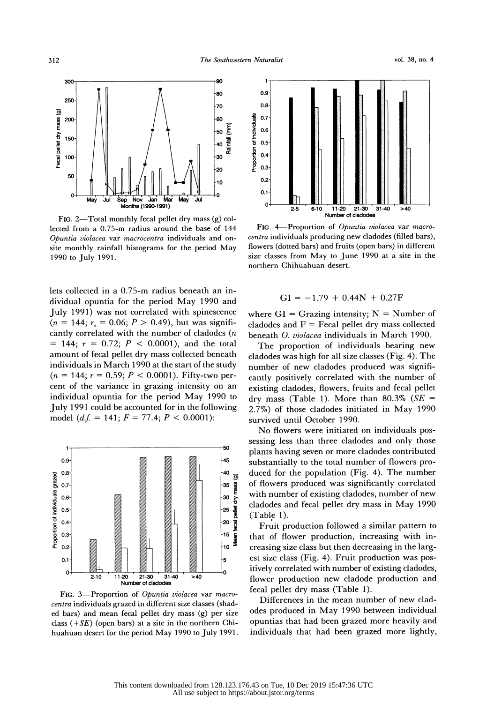

FIG. 2-Total monthly fecal pellet dry mass  $(g)$  col lected from a 0.75-m radius around the base of 144 Opuntia violacea var macrocentra individuals and on site monthly rainfall histograms for the period May 1990 to July 1991.

 lets collected in a 0.75-m radius beneath an in dividual opuntia for the period May 1990 and July 1991) was not correlated with spinescence  $(n = 144; r_s = 0.06; P > 0.49)$ , but was significantly correlated with the number of cladodes  $(n)$  $= 144$ ;  $r = 0.72$ ;  $P < 0.0001$ ), and the total amount of fecal pellet dry mass collected beneath individuals in March 1990 at the start of the study  $(n = 144; r = 0.59; P < 0.0001)$ . Fifty-two per cent of the variance in grazing intensity on an individual opuntia for the period May 1990 to July 1991 could be accounted for in the following  $(2.7\%)$ model (d.f. = 141;  $F = 77.4$ ;  $P < 0.0001$ ):



FIG. 3-Proportion of Opuntia violacea var macro centra individuals grazed in different size classes (shad ed bars) and mean fecal pellet dry mass (g) per size class  $(+SE)$  (open bars) at a site in the northern Chihuahuan desert for the period May 1990 to July 1991.



FIG. 4-Proportion of Opuntia violacea var macro centra individuals producing new cladodes (filled bars), flowers (dotted bars) and fruits (open bars) in different size classes from May to June 1990 at a site in the northern Chihuahuan desert.

$$
GI = -1.79 + 0.44N + 0.27F
$$

where  $GI = Grazing$  intensity;  $N = Number$  of cladodes and  $F = Fecal$  pellet dry mass collected beneath 0. violacea individuals in March 1990.

 The proportion of individuals bearing new cladodes was high for all size classes (Fig. 4). The number of new cladodes produced was signifi cantly positively correlated with the number of existing cladodes, flowers, fruits and fecal pellet dry mass (Table 1). More than 80.3% ( $SE =$  2.7%) of those cladodes initiated in May 1990 survived until October 1990.

 No flowers were initiated on individuals pos sessing less than three cladodes and only those plants having seven or more cladodes contributed substantially to the total number of flowers pro duced for the population (Fig. 4). The number of flowers produced was significantly correlated with number of existing cladodes, number of new cladodes and fecal pellet dry mass in May 1990 (Table 1).

 Fruit production followed a similar pattern to that of flower production, increasing with in creasing size class but then decreasing in the larg est size class (Fig. 4). Fruit production was pos itively correlated with number of existing cladodes, flower production new cladode production and fecal pellet dry mass (Table 1).

 Differences in the mean number of new clad odes produced in May 1990 between individual opuntias that had been grazed more heavily and individuals that had been grazed more lightly,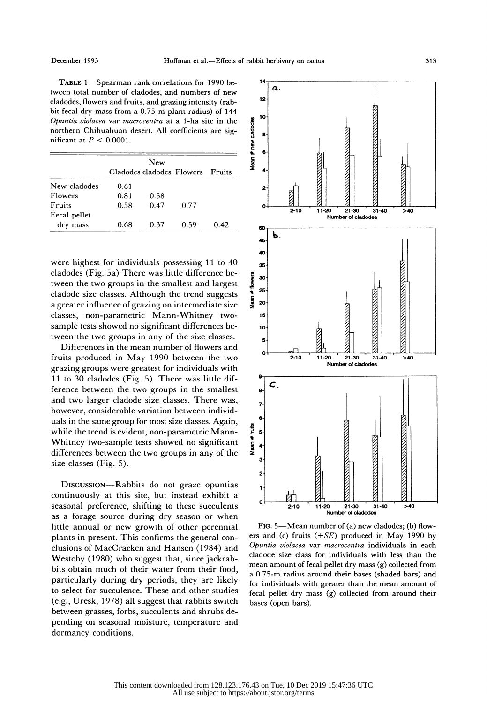TABLE 1-Spearman rank correlations for 1990 be tween total number of cladodes, and numbers of new cladodes, flowers and fruits, and grazing intensity (rab bit fecal dry-mass from a 0.75-m plant radius) of 144<br>
Opuntia violacea var macrocentra at a 1-ha site in the<br>
northern Chihuahuan desert. All coefficients are significant at  $P < 0.0001$ .<br>
New Opuntia violacea var macrocentra at a 1-ha site in the northern Chihuahuan desert. All coefficients are significant at  $P < 0.0001$ .

|               | New                       |      |      |          |
|---------------|---------------------------|------|------|----------|
|               | Cladodes cladodes Flowers |      |      | - Fruits |
| New cladodes  | 0.61                      |      |      |          |
| Flowers       | 0.81                      | 0.58 |      |          |
| <b>Fruits</b> | 0.58                      | 0.47 | 0.77 |          |
| Fecal pellet  |                           |      |      |          |
| dry mass      | 0.68                      | 0.37 | 0.59 | 0.42     |

 were highest for individuals possessing 11 to 40 cladodes (Fig. 5a) There was little difference be-<br>tween the two groups in the smallest and largest<br>cladode size classes. Although the trend suggests<br>a greater influence of grazing on intermediate size tween the two groups in the smallest and largest  $\frac{3}{2}$   $\frac{3}{25}$  cladode size classes. Although the trend suggests a greater influence of grazing on intermediate size classes, non-parametric Mann-Whitney two sample tests showed no significant differences be tween the two groups in any of the size classes.

 Differences in the mean number of flowers and fruits produced in May 1990 between the two grazing groups were greatest for individuals with 11 to 30 cladodes (Fig. 5). There was little dif ference between the two groups in the smallest and two larger cladode size classes. There was, however, considerable variation between individ uals in the same group for most size classes. Again, while the trend is evident, non-parametric Mann- $\vec{e}$  5 Whitney two-sample tests showed no significant differences between the two groups in any of the size classes (Fig. 5).

 DIscussIoN-Rabbits do not graze opuntias continuously at this site, but instead exhibit a seasonal preference, shifting to these succulents as a forage source during dry season or when little annual or new growth of other perennial plants in present. This confirms the general con clusions of MacCracken and Hansen (1984) and Westoby (1980) who suggest that, since jackrab bits obtain much of their water from their food, particularly during dry periods, they are likely to select for succulence. These and other studies (e.g., Uresk, 1978) all suggest that rabbits switch between grasses, forbs, succulents and shrubs de pending on seasonal moisture, temperature and dormancy conditions.



FIG. 5-Mean number of (a) new cladodes; (b) flowers and (c) fruits  $(+SE)$  produced in May 1990 by Opuntia violacea var macrocentra individuals in each cladode size class for individuals with less than the mean amount of fecal pellet dry mass (g) collected from a 0.75-m radius around their bases (shaded bars) and for individuals with greater than the mean amount of fecal pellet dry mass (g) collected from around their bases (open bars).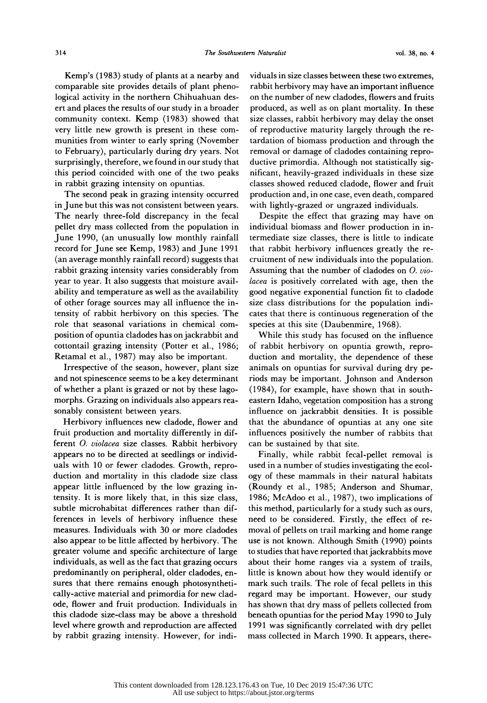very little new growth is present in these com-<br>munities from winter to early spring (November<br>to February), particularly during dry years. Not surprisingly, therefore, we found in our study that<br>this period coincided with one of the two peaks<br>in rabbit grazing intensity on opuntias.

The second peak in grazing intensity occurred<br>in June but this was not consistent between years.<br>The nearly three-fold discrepancy in the fecal The nearly three-fold discrepancy in the fecal Despite the effect that grazing may have on<br>The nearly three-fold discrepancy in the fecal Despite the effect that grazing may have on pellet dry mass collected from the population in individual biomass and flower production in in- June 1990, (an unusually low monthly rainfall termediate size classes, there is little to indicate record for June see Kemp, 1983) and June 1991 that rabbit herbivory influences greatly the re- (an average monthly rainfall record) suggests that cruitment of new individuals into the population. (an average monthly rainfall record) suggests that<br>rabbit grazing intensity varies considerably from<br>year to year. It also suggests that moisture availyear to year. It also suggests that moisture avail-<br>year to year. It also suggests that moisture avail-<br>lacea is positively correlated with age, then the Ability and temperature as well as the availability good negative exponential function fit to cladode ability and temperature as well as the availability good negative exponential function fit to cladode of other forage sources may all influence the in- size class distributions for the population indi of other forage sources may all influence the intensity of rabbit herbivory on this species. The role that seasonal variations in chemical com position of opuntia cladodes has on jackrabbit and cottontail grazing intensity (Potter et al., 1986; Retamal et al., 1987) may also be important.

 Irrespective of the season, however, plant size and not spinescence seems to be a key determinant of whether a plant is grazed or not by these lago morphs. Grazing on individuals also appears rea sonably consistent between years.

 Herbivory influences new cladode, flower and fruit production and mortality differently in dif ferent 0. violacea size classes. Rabbit herbivory appears no to be directed at seedlings or individ uals with 10 or fewer cladodes. Growth, repro duction and mortality in this cladode size class appear little influenced by the low grazing in tensity. It is more likely that, in this size class, subtle microhabitat differences rather than dif ferences in levels of herbivory influence these measures. Individuals with 30 or more cladodes also appear to be little affected by herbivory. The greater volume and specific architecture of large individuals, as well as the fact that grazing occurs predominantly on peripheral, older cladodes, en sures that there remains enough photosyntheti cally-active material and primordia for new clad ode, flower and fruit production. Individuals in this cladode size-class may be above a threshold level where growth and reproduction are affected by rabbit grazing intensity. However, for indi-

 Kemp's (1983) study of plants at a nearby and viduals in size classes between these two extremes, remp s (1905) stay of plants at a nearby and through independence causes between mest two extremes,<br>comparable site provides details of plant pheno-<br>herbivory may have an important influence logical activity in the northern Chihuahuan des-<br>logical activity in the northern Chihuahuan des-<br>on the number of new cladodes, flowers and fruits ert and places the results of our study in a broader produced, as well as on plant mortality. In these community context. Kemp (1983) showed that size classes, rabbit herbivory may delay the onset very little new growth is present in these com-<br>very little new growth is present in these com-<br>of reproductive maturity largely through the re to February), particularly during dry years. Not removal or damage of cladodes containing repro surprisingly, therefore, we found in our study that ductive primordia. Although not statistically sigin period contribute with one of the two peaks. Integral, heavily grazied matrialis in these size<br>in rabbit grazing intensity on opuntias. The second peak in grazing intensity occurred production and, in one case, even death, compared<br>The second peak in grazing intensity occurred production and, in one case, even death, compared tardation of biomass production and through the nificant, heavily-grazed individuals in these size with lightly-grazed or ungrazed individuals.

> Assuming that the number of cladodes on O. vio cates that there is continuous regeneration of the species at this site (Daubenmire, 1968).

> While this study has focused on the influence of rabbit herbivory on opuntia growth, repro duction and mortality, the dependence of these animals on opuntias for survival during dry pe riods may be important. Johnson and Anderson (1984), for example, have shown that in south eastern Idaho, vegetation composition has a strong influence on jackrabbit densities. It is possible that the abundance of opuntias at any one site influences positively the number of rabbits that can be sustained by that site.

> Finally, while rabbit fecal-pellet removal is used in a number of studies investigating the ecol ogy of these mammals in their natural habitats (Roundy et al., 1985; Anderson and Shumar, 1986; McAdoo et al., 1987), two implications of this method, particularly for a study such as ours, need to be considered. Firstly, the effect of re moval of pellets on trail marking and home range use is not known. Although Smith (1990) points to studies that have reported that jackrabbits move about their home ranges via a system of trails, little is known about how they would identify or mark such trails. The role of fecal pellets in this regard may be important. However, our study has shown that dry mass of pellets collected from beneath opuntias for the period May 1990 to July 1991 was significantly correlated with dry pellet mass collected in March 1990. It appears, there